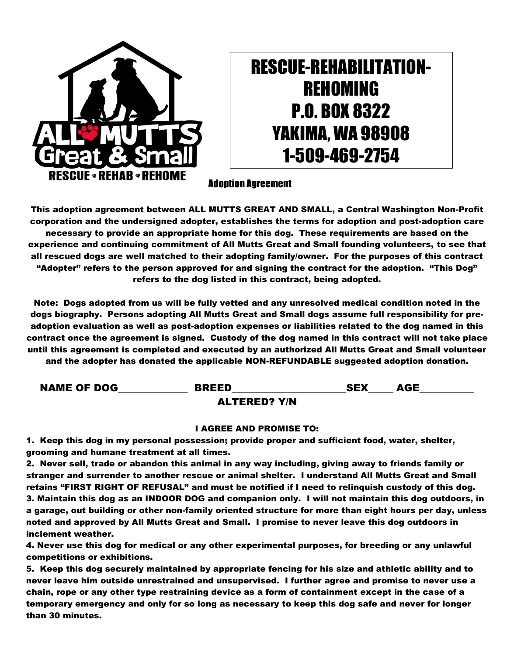

## RESCUE-REHABILITATION-REHOMING P.O. BOX 8322 YAKIMA, WA 98908 1-509-469-2754

Adoption Agreement

This adoption agreement between ALL MUTTS GREAT AND SMALL, a Central Washington Non-Profit corporation and the undersigned adopter, establishes the terms for adoption and post-adoption care necessary to provide an appropriate home for this dog. These requirements are based on the experience and continuing commitment of All Mutts Great and Small founding volunteers, to see that all rescued dogs are well matched to their adopting family/owner. For the purposes of this contract "Adopter" refers to the person approved for and signing the contract for the adoption. "This Dog" refers to the dog listed in this contract, being adopted.

Note: Dogs adopted from us will be fully vetted and any unresolved medical condition noted in the dogs biography. Persons adopting All Mutts Great and Small dogs assume full responsibility for preadoption evaluation as well as post-adoption expenses or liabilities related to the dog named in this contract once the agreement is signed. Custody of the dog named in this contract will not take place until this agreement is completed and executed by an authorized All Mutts Great and Small volunteer and the adopter has donated the applicable NON-REFUNDABLE suggested adoption donation.

NAME OF DOG\_\_\_\_\_\_\_\_\_\_\_\_\_\_ BREED\_\_\_\_\_\_\_\_\_\_\_\_\_\_\_\_\_\_\_\_\_\_\_SEX\_\_\_\_\_ AGE\_\_\_\_\_\_\_\_\_\_\_ ALTERED? Y/N

## I AGREE AND PROMISE TO:

1. Keep this dog in my personal possession; provide proper and sufficient food, water, shelter, grooming and humane treatment at all times.

2. Never sell, trade or abandon this animal in any way including, giving away to friends family or stranger and surrender to another rescue or animal shelter. I understand All Mutts Great and Small retains "FIRST RIGHT OF REFUSAL" and must be notified if I need to relinquish custody of this dog. 3. Maintain this dog as an INDOOR DOG and companion only. I will not maintain this dog outdoors, in a garage, out building or other non-family oriented structure for more than eight hours per day, unless noted and approved by All Mutts Great and Small. I promise to never leave this dog outdoors in inclement weather.

4. Never use this dog for medical or any other experimental purposes, for breeding or any unlawful competitions or exhibitions.

5. Keep this dog securely maintained by appropriate fencing for his size and athletic ability and to never leave him outside unrestrained and unsupervised. I further agree and promise to never use a chain, rope or any other type restraining device as a form of containment except in the case of a temporary emergency and only for so long as necessary to keep this dog safe and never for longer than 30 minutes.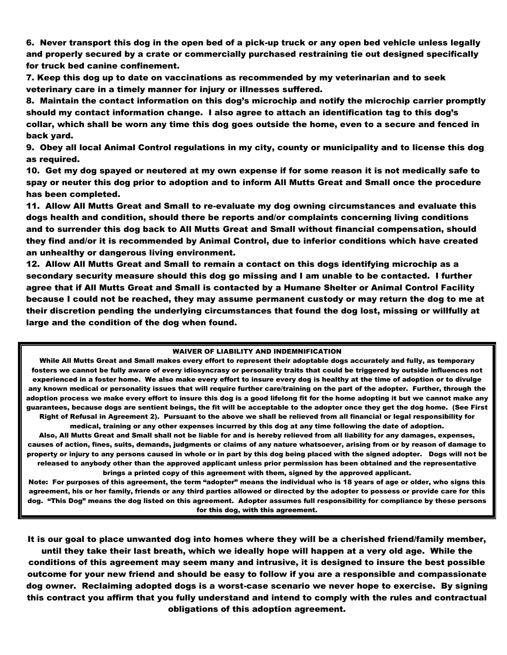6. Never transport this dog in the open bed of a pick-up truck or any open bed vehicle unless legally and properly secured by a crate or commercially purchased restraining tie out designed specifically for truck bed canine confinement.

7. Keep this dog up to date on vaccinations as recommended by my veterinarian and to seek veterinary care in a timely manner for injury or illnesses suffered.

8. Maintain the contact information on this dog's microchip and notify the microchip carrier promptly should my contact information change. I also agree to attach an identification tag to this dog's collar, which shall be worn any time this dog goes outside the home, even to a secure and fenced in back yard.

9. Obey all local Animal Control regulations in my city, county or municipality and to license this dog as required.

10. Get my dog spayed or neutered at my own expense if for some reason it is not medically safe to spay or neuter this dog prior to adoption and to inform All Mutts Great and Small once the procedure has been completed.

11. Allow All Mutts Great and Small to re-evaluate my dog owning circumstances and evaluate this dogs health and condition, should there be reports and/or complaints concerning living conditions and to surrender this dog back to All Mutts Great and Small without financial compensation, should they find and/or it is recommended by Animal Control, due to inferior conditions which have created an unhealthy or dangerous living environment.

12. Allow All Mutts Great and Small to remain a contact on this dogs identifying microchip as a secondary security measure should this dog go missing and I am unable to be contacted. I further agree that if All Mutts Great and Small is contacted by a Humane Shelter or Animal Control Facility because I could not be reached, they may assume permanent custody or may return the dog to me at their discretion pending the underlying circumstances that found the dog lost, missing or willfully at large and the condition of the dog when found.

## WAIVER OF LIABILITY AND INDEMNIFICATION

While All Mutts Great and Small makes every effort to represent their adoptable dogs accurately and fully, as temporary fosters we cannot be fully aware of every idiosyncrasy or personality traits that could be triggered by outside influences not experienced in a foster home. We also make every effort to insure every dog is healthy at the time of adoption or to divulge any known medical or personality issues that will require further care/training on the part of the adopter. Further, through the adoption process we make every effort to insure this dog is a good lifelong fit for the home adopting it but we cannot make any guarantees, because dogs are sentient beings, the fit will be acceptable to the adopter once they get the dog home. (See First Right of Refusal in Agreement 2). Pursuant to the above we shall be relieved from all financial or legal responsibility for medical, training or any other expenses incurred by this dog at any time following the date of adoption.

Also, All Mutts Great and Small shall not be liable for and is hereby relieved from all liability for any damages, expenses, causes of action, fines, suits, demands, judgments or claims of any nature whatsoever, arising from or by reason of damage to property or injury to any persons caused in whole or in part by this dog being placed with the signed adopter. Dogs will not be released to anybody other than the approved applicant unless prior permission has been obtained and the representative brings a printed copy of this agreement with them, signed by the approved applicant.

Note: For purposes of this agreement, the term "adopter" means the individual who is 18 years of age or older, who signs this agreement, his or her family, friends or any third parties allowed or directed by the adopter to possess or provide care for this dog. "This Dog" means the dog listed on this agreement. Adopter assumes full responsibility for compliance by these persons for this dog, with this agreement.

It is our goal to place unwanted dog into homes where they will be a cherished friend/family member, until they take their last breath, which we ideally hope will happen at a very old age. While the

conditions of this agreement may seem many and intrusive, it is designed to insure the best possible outcome for your new friend and should be easy to follow if you are a responsible and compassionate dog owner. Reclaiming adopted dogs is a worst-case scenario we never hope to exercise. By signing this contract you affirm that you fully understand and intend to comply with the rules and contractual obligations of this adoption agreement.